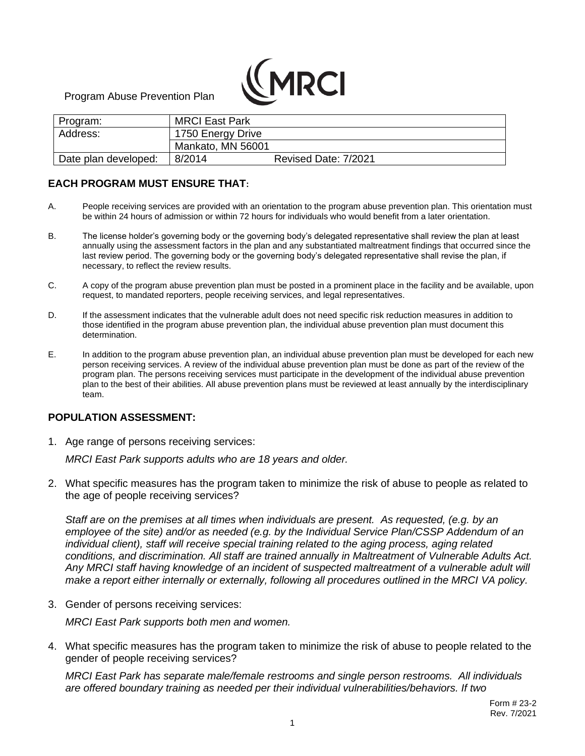

Program Abuse Prevention Plan

| Program:             | <b>MRCI East Park</b> |                      |
|----------------------|-----------------------|----------------------|
| Address:             | 1750 Energy Drive     |                      |
|                      | Mankato, MN 56001     |                      |
| Date plan developed: | 8/2014                | Revised Date: 7/2021 |

# **EACH PROGRAM MUST ENSURE THAT:**

- A. People receiving services are provided with an orientation to the program abuse prevention plan. This orientation must be within 24 hours of admission or within 72 hours for individuals who would benefit from a later orientation.
- B. The license holder's governing body or the governing body's delegated representative shall review the plan at least annually using the assessment factors in the plan and any substantiated maltreatment findings that occurred since the last review period. The governing body or the governing body's delegated representative shall revise the plan, if necessary, to reflect the review results.
- C. A copy of the program abuse prevention plan must be posted in a prominent place in the facility and be available, upon request, to mandated reporters, people receiving services, and legal representatives.
- D. If the assessment indicates that the vulnerable adult does not need specific risk reduction measures in addition to those identified in the program abuse prevention plan, the individual abuse prevention plan must document this determination.
- E. In addition to the program abuse prevention plan, an individual abuse prevention plan must be developed for each new person receiving services. A review of the individual abuse prevention plan must be done as part of the review of the program plan. The persons receiving services must participate in the development of the individual abuse prevention plan to the best of their abilities. All abuse prevention plans must be reviewed at least annually by the interdisciplinary team.

## **POPULATION ASSESSMENT:**

1. Age range of persons receiving services:

*MRCI East Park supports adults who are 18 years and older.*

2. What specific measures has the program taken to minimize the risk of abuse to people as related to the age of people receiving services?

*Staff are on the premises at all times when individuals are present. As requested, (e.g. by an employee of the site) and/or as needed (e.g. by the Individual Service Plan/CSSP Addendum of an individual client), staff will receive special training related to the aging process, aging related conditions, and discrimination. All staff are trained annually in Maltreatment of Vulnerable Adults Act. Any MRCI staff having knowledge of an incident of suspected maltreatment of a vulnerable adult will make a report either internally or externally, following all procedures outlined in the MRCI VA policy.*

3. Gender of persons receiving services:

*MRCI East Park supports both men and women.*

4. What specific measures has the program taken to minimize the risk of abuse to people related to the gender of people receiving services?

*MRCI East Park has separate male/female restrooms and single person restrooms. All individuals are offered boundary training as needed per their individual vulnerabilities/behaviors. If two*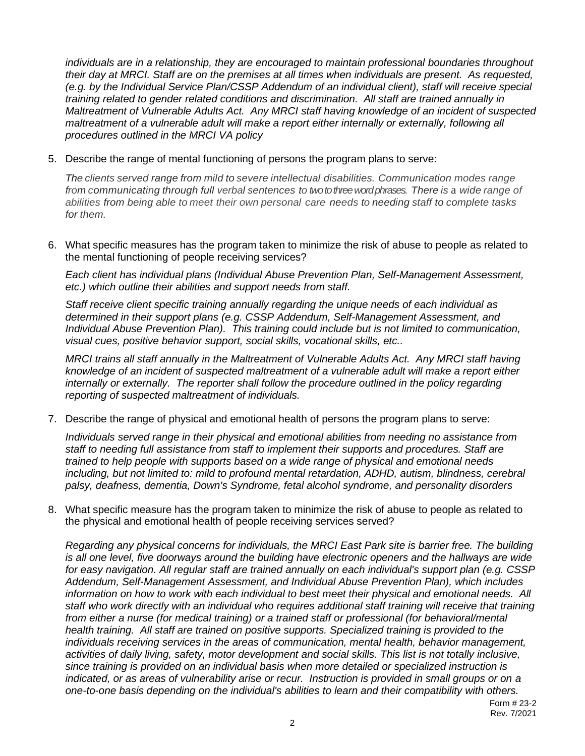*individuals are in a relationship, they are encouraged to maintain professional boundaries throughout their day at MRCI. Staff are on the premises at all times when individuals are present. As requested, (e.g. by the Individual Service Plan/CSSP Addendum of an individual client), staff will receive special training related to gender related conditions and discrimination. All staff are trained annually in Maltreatment of Vulnerable Adults Act. Any MRCI staff having knowledge of an incident of suspected maltreatment of a vulnerable adult will make a report either internally or externally, following all procedures outlined in the MRCI VA policy*

5. Describe the range of mental functioning of persons the program plans to serve:

*The clients served range from mild to severe intellectual disabilities. Communication modes range from communicating through full verbal sentences to two to three word phrases. There is* a *wide range of abilities from being able to meet their own personal care needs to needing staff to complete tasks for them.*

6. What specific measures has the program taken to minimize the risk of abuse to people as related to the mental functioning of people receiving services?

*Each client has individual plans (Individual Abuse Prevention Plan, Self-Management Assessment, etc.) which outline their abilities and support needs from staff.*

*Staff receive client specific training annually regarding the unique needs of each individual as determined in their support plans (e.g. CSSP Addendum, Self-Management Assessment, and Individual Abuse Prevention Plan). This training could include but is not limited to communication, visual cues, positive behavior support, social skills, vocational skills, etc..*

*MRCI trains all staff annually in the Maltreatment of Vulnerable Adults Act. Any MRCI staff having knowledge of an incident of suspected maltreatment of a vulnerable adult will make a report either*  internally or externally. The reporter shall follow the procedure outlined in the policy regarding *reporting of suspected maltreatment of individuals.*

7. Describe the range of physical and emotional health of persons the program plans to serve:

*Individuals served range in their physical and emotional abilities from needing no assistance from staff to needing full assistance from staff to implement their supports and procedures. Staff are trained to help people with supports based on a wide range of physical and emotional needs including, but not limited to: mild to profound mental retardation, ADHD, autism, blindness, cerebral palsy, deafness, dementia, Down's Syndrome, fetal alcohol syndrome, and personality disorders*

8. What specific measure has the program taken to minimize the risk of abuse to people as related to the physical and emotional health of people receiving services served?

*Regarding any physical concerns for individuals, the MRCI East Park site is barrier free. The building is all one level, five doorways around the building have electronic openers and the hallways are wide for easy navigation. All regular staff are trained annually on each individual's support plan (e.g. CSSP Addendum, Self-Management Assessment, and Individual Abuse Prevention Plan), which includes information on how to work with each individual to best meet their physical and emotional needs. All staff who work directly with an individual who requires additional staff training will receive that training from either a nurse (for medical training) or a trained staff or professional (for behavioral/mental health training. All staff are trained on positive supports. Specialized training is provided to the individuals receiving services in the areas of communication, mental health, behavior management, activities of daily living, safety, motor development and social skills. This list is not totally inclusive, since training is provided on an individual basis when more detailed or specialized instruction is indicated, or as areas of vulnerability arise or recur. Instruction is provided in small groups or on a one-to-one basis depending on the individual's abilities to learn and their compatibility with others.*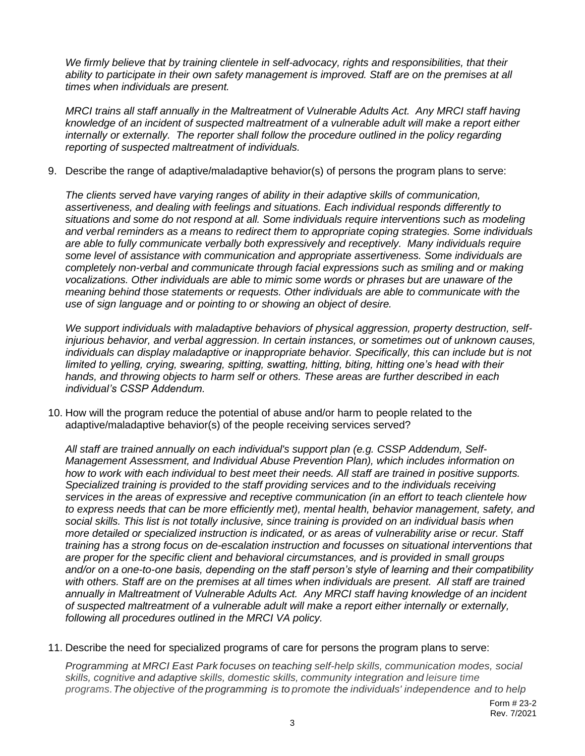*We firmly believe that by training clientele in self-advocacy, rights and responsibilities, that their ability to participate in their own safety management is improved. Staff are on the premises at all times when individuals are present.* 

*MRCI trains all staff annually in the Maltreatment of Vulnerable Adults Act. Any MRCI staff having knowledge of an incident of suspected maltreatment of a vulnerable adult will make a report either internally or externally. The reporter shall follow the procedure outlined in the policy regarding reporting of suspected maltreatment of individuals.* 

9. Describe the range of adaptive/maladaptive behavior(s) of persons the program plans to serve:

*The clients served have varying ranges of ability in their adaptive skills of communication, assertiveness, and dealing with feelings and situations. Each individual responds differently to situations and some do not respond at all. Some individuals require interventions such as modeling and verbal reminders as a means to redirect them to appropriate coping strategies. Some individuals are able to fully communicate verbally both expressively and receptively. Many individuals require some level of assistance with communication and appropriate assertiveness. Some individuals are completely non-verbal and communicate through facial expressions such as smiling and or making vocalizations. Other individuals are able to mimic some words or phrases but are unaware of the meaning behind those statements or requests. Other individuals are able to communicate with the use of sign language and or pointing to or showing an object of desire.* 

*We support individuals with maladaptive behaviors of physical aggression, property destruction, selfinjurious behavior, and verbal aggression. In certain instances, or sometimes out of unknown causes, individuals can display maladaptive or inappropriate behavior. Specifically, this can include but is not limited to yelling, crying, swearing, spitting, swatting, hitting, biting, hitting one's head with their hands, and throwing objects to harm self or others. These areas are further described in each individual's CSSP Addendum.*

10. How will the program reduce the potential of abuse and/or harm to people related to the adaptive/maladaptive behavior(s) of the people receiving services served?

*All staff are trained annually on each individual's support plan (e.g. CSSP Addendum, Self-Management Assessment, and Individual Abuse Prevention Plan), which includes information on how to work with each individual to best meet their needs. All staff are trained in positive supports. Specialized training is provided to the staff providing services and to the individuals receiving services in the areas of expressive and receptive communication (in an effort to teach clientele how to express needs that can be more efficiently met), mental health, behavior management, safety, and social skills. This list is not totally inclusive, since training is provided on an individual basis when more detailed or specialized instruction is indicated, or as areas of vulnerability arise or recur. Staff training has a strong focus on de-escalation instruction and focusses on situational interventions that are proper for the specific client and behavioral circumstances, and is provided in small groups and/or on a one-to-one basis, depending on the staff person's style of learning and their compatibility*  with others. Staff are on the premises at all times when individuals are present. All staff are trained *annually in Maltreatment of Vulnerable Adults Act. Any MRCI staff having knowledge of an incident of suspected maltreatment of a vulnerable adult will make a report either internally or externally, following all procedures outlined in the MRCI VA policy.* 

11. Describe the need for specialized programs of care for persons the program plans to serve:

*Programming at MRCI East Park focuses on teaching self-help skills, communication modes, social skills, cognitive and adaptive skills, domestic skills, community integration and leisure time programs.The objective of the programming is to promote the individuals' independence and to help*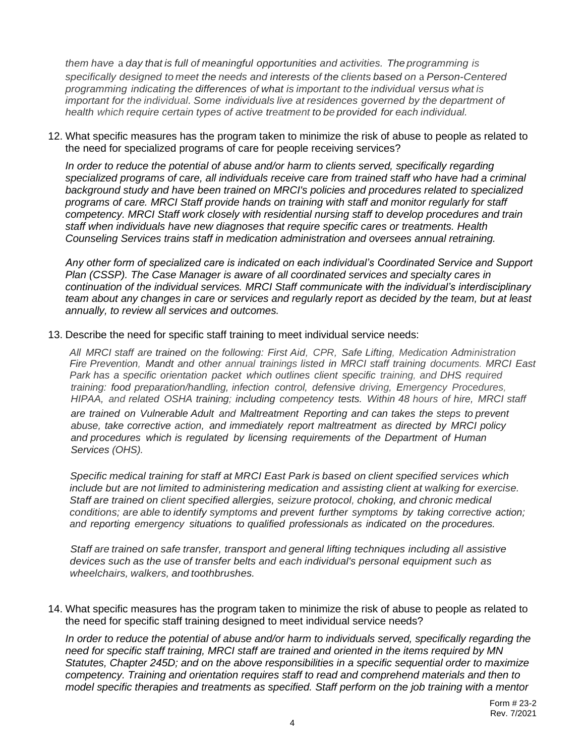*them have* a *day that is full of meaningful opportunities and activities. The programming is specifically designed to meet the needs and interests of the clients based on* a *Person-Centered programming indicating the differences of what is important to the individual versus what is important for the individual. Some individuals live at residences governed by the department of health which require certain types of active treatment to be provided for each individual.*

12. What specific measures has the program taken to minimize the risk of abuse to people as related to the need for specialized programs of care for people receiving services?

*In order to reduce the potential of abuse and/or harm to clients served, specifically regarding*  specialized programs of care, all individuals receive care from trained staff who have had a criminal *background study and have been trained on MRCI's policies and procedures related to specialized programs of care. MRCI Staff provide hands on training with staff and monitor regularly for staff competency. MRCI Staff work closely with residential nursing staff to develop procedures and train staff when individuals have new diagnoses that require specific cares or treatments. Health Counseling Services trains staff in medication administration and oversees annual retraining.* 

*Any other form of specialized care is indicated on each individual's Coordinated Service and Support Plan (CSSP). The Case Manager is aware of all coordinated services and specialty cares in continuation of the individual services. MRCI Staff communicate with the individual's interdisciplinary team about any changes in care or services and regularly report as decided by the team, but at least annually, to review all services and outcomes.*

#### 13. Describe the need for specific staff training to meet individual service needs:

*All MRCI staff are trained on the following: First Aid, CPR, Safe Lifting, Medication Administration Fire Prevention, Mandt and other annual trainings listed in MRCI staff training documents. MRCI East Park has a specific orientation packet which outlines client specific training, and DHS required training: food preparation/handling, infection control, defensive driving, Emergency Procedures, HIPAA, and related OSHA training; including competency tests. Within 48 hours of hire, MRCI staff are trained on Vulnerable Adult and Maltreatment Reporting and can takes the steps to prevent abuse, take corrective action, and immediately report maltreatment as directed by MRCI policy and procedures which is regulated by licensing requirements of the Department of Human Services (OHS).*

*Specific medical training for staff at MRCI East Park is based on client specified services which include but are not limited to administering medication and assisting client at walking for exercise. Staff are trained on client specified allergies, seizure protocol, choking, and chronic medical conditions; are able to identify symptoms and prevent further symptoms by taking corrective action; and reporting emergency situations to qualified professionals as indicated on the procedures.*

*Staff are trained on safe transfer, transport and general lifting techniques including all assistive devices such as the use of transfer belts and each individual's personal equipment such as wheelchairs, walkers, and toothbrushes.*

14. What specific measures has the program taken to minimize the risk of abuse to people as related to the need for specific staff training designed to meet individual service needs?

*In order to reduce the potential of abuse and/or harm to individuals served, specifically regarding the need for specific staff training, MRCI staff are trained and oriented in the items required by MN Statutes, Chapter 245D; and on the above responsibilities in a specific sequential order to maximize competency. Training and orientation requires staff to read and comprehend materials and then to model specific therapies and treatments as specified. Staff perform on the job training with a mentor*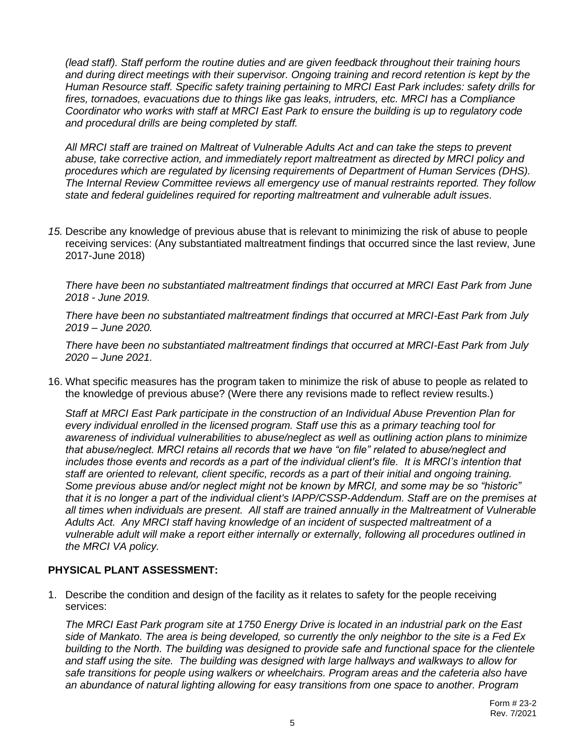*(lead staff). Staff perform the routine duties and are given feedback throughout their training hours and during direct meetings with their supervisor. Ongoing training and record retention is kept by the Human Resource staff. Specific safety training pertaining to MRCI East Park includes: safety drills for fires, tornadoes, evacuations due to things like gas leaks, intruders, etc. MRCI has a Compliance Coordinator who works with staff at MRCI East Park to ensure the building is up to regulatory code and procedural drills are being completed by staff.* 

*All MRCI staff are trained on Maltreat of Vulnerable Adults Act and can take the steps to prevent abuse, take corrective action, and immediately report maltreatment as directed by MRCI policy and procedures which are regulated by licensing requirements of Department of Human Services (DHS). The Internal Review Committee reviews all emergency use of manual restraints reported. They follow state and federal guidelines required for reporting maltreatment and vulnerable adult issues.*

*15.* Describe any knowledge of previous abuse that is relevant to minimizing the risk of abuse to people receiving services: (Any substantiated maltreatment findings that occurred since the last review, June 2017-June 2018)

*There have been no substantiated maltreatment findings that occurred at MRCI East Park from June 2018 - June 2019.*

*There have been no substantiated maltreatment findings that occurred at MRCI-East Park from July 2019 – June 2020.*

*There have been no substantiated maltreatment findings that occurred at MRCI-East Park from July 2020 – June 2021.*

16. What specific measures has the program taken to minimize the risk of abuse to people as related to the knowledge of previous abuse? (Were there any revisions made to reflect review results.)

*Staff at MRCI East Park participate in the construction of an Individual Abuse Prevention Plan for every individual enrolled in the licensed program. Staff use this as a primary teaching tool for awareness of individual vulnerabilities to abuse/neglect as well as outlining action plans to minimize that abuse/neglect. MRCI retains all records that we have "on file" related to abuse/neglect and includes those events and records as a part of the individual client's file. It is MRCI's intention that staff are oriented to relevant, client specific, records as a part of their initial and ongoing training. Some previous abuse and/or neglect might not be known by MRCI, and some may be so "historic" that it is no longer a part of the individual client's IAPP/CSSP-Addendum. Staff are on the premises at all times when individuals are present. All staff are trained annually in the Maltreatment of Vulnerable Adults Act. Any MRCI staff having knowledge of an incident of suspected maltreatment of a vulnerable adult will make a report either internally or externally, following all procedures outlined in the MRCI VA policy.*

## **PHYSICAL PLANT ASSESSMENT:**

1. Describe the condition and design of the facility as it relates to safety for the people receiving services:

*The MRCI East Park program site at 1750 Energy Drive is located in an industrial park on the East side of Mankato. The area is being developed, so currently the only neighbor to the site is a Fed Ex building to the North. The building was designed to provide safe and functional space for the clientele and staff using the site. The building was designed with large hallways and walkways to allow for safe transitions for people using walkers or wheelchairs. Program areas and the cafeteria also have an abundance of natural lighting allowing for easy transitions from one space to another. Program*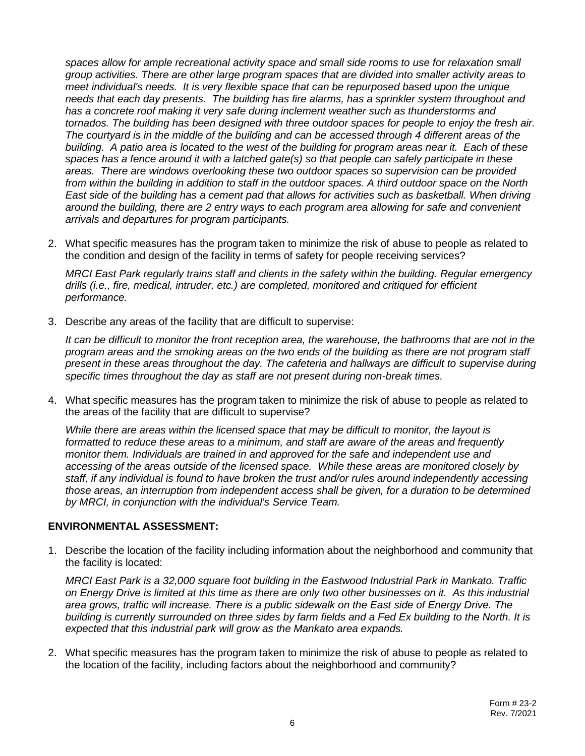*spaces allow for ample recreational activity space and small side rooms to use for relaxation small group activities. There are other large program spaces that are divided into smaller activity areas to meet individual's needs. It is very flexible space that can be repurposed based upon the unique needs that each day presents. The building has fire alarms, has a sprinkler system throughout and has a concrete roof making it very safe during inclement weather such as thunderstorms and tornados. The building has been designed with three outdoor spaces for people to enjoy the fresh air. The courtyard is in the middle of the building and can be accessed through 4 different areas of the building. A patio area is located to the west of the building for program areas near it. Each of these spaces has a fence around it with a latched gate(s) so that people can safely participate in these areas. There are windows overlooking these two outdoor spaces so supervision can be provided from within the building in addition to staff in the outdoor spaces. A third outdoor space on the North East side of the building has a cement pad that allows for activities such as basketball. When driving around the building, there are 2 entry ways to each program area allowing for safe and convenient arrivals and departures for program participants.*

2. What specific measures has the program taken to minimize the risk of abuse to people as related to the condition and design of the facility in terms of safety for people receiving services?

*MRCI East Park regularly trains staff and clients in the safety within the building. Regular emergency drills (i.e., fire, medical, intruder, etc.) are completed, monitored and critiqued for efficient performance.*

3. Describe any areas of the facility that are difficult to supervise:

*It can be difficult to monitor the front reception area, the warehouse, the bathrooms that are not in the program areas and the smoking areas on the two ends of the building as there are not program staff present in these areas throughout the day. The cafeteria and hallways are difficult to supervise during specific times throughout the day as staff are not present during non-break times.*

4. What specific measures has the program taken to minimize the risk of abuse to people as related to the areas of the facility that are difficult to supervise?

*While there are areas within the licensed space that may be difficult to monitor, the layout is formatted to reduce these areas to a minimum, and staff are aware of the areas and frequently monitor them. Individuals are trained in and approved for the safe and independent use and accessing of the areas outside of the licensed space. While these areas are monitored closely by staff, if any individual is found to have broken the trust and/or rules around independently accessing those areas, an interruption from independent access shall be given, for a duration to be determined by MRCI, in conjunction with the individual's Service Team.*

## **ENVIRONMENTAL ASSESSMENT:**

1. Describe the location of the facility including information about the neighborhood and community that the facility is located:

*MRCI East Park is a 32,000 square foot building in the Eastwood Industrial Park in Mankato. Traffic on Energy Drive is limited at this time as there are only two other businesses on it. As this industrial area grows, traffic will increase. There is a public sidewalk on the East side of Energy Drive. The building is currently surrounded on three sides by farm fields and a Fed Ex building to the North. It is expected that this industrial park will grow as the Mankato area expands.*

2. What specific measures has the program taken to minimize the risk of abuse to people as related to the location of the facility, including factors about the neighborhood and community?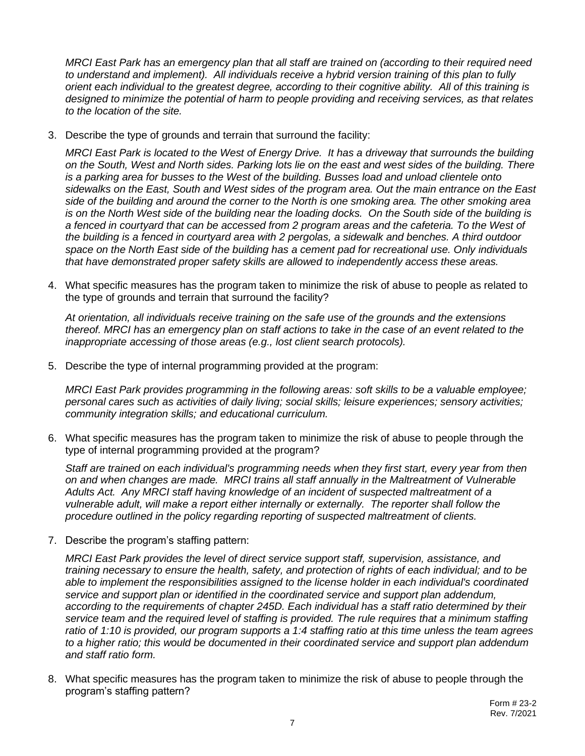*MRCI East Park has an emergency plan that all staff are trained on (according to their required need to understand and implement). All individuals receive a hybrid version training of this plan to fully orient each individual to the greatest degree, according to their cognitive ability. All of this training is designed to minimize the potential of harm to people providing and receiving services, as that relates to the location of the site.*

3. Describe the type of grounds and terrain that surround the facility:

*MRCI East Park is located to the West of Energy Drive. It has a driveway that surrounds the building on the South, West and North sides. Parking lots lie on the east and west sides of the building. There is a parking area for busses to the West of the building. Busses load and unload clientele onto sidewalks on the East, South and West sides of the program area. Out the main entrance on the East side of the building and around the corner to the North is one smoking area. The other smoking area is on the North West side of the building near the loading docks. On the South side of the building is a fenced in courtyard that can be accessed from 2 program areas and the cafeteria. To the West of the building is a fenced in courtyard area with 2 pergolas, a sidewalk and benches. A third outdoor space on the North East side of the building has a cement pad for recreational use. Only individuals that have demonstrated proper safety skills are allowed to independently access these areas.* 

4. What specific measures has the program taken to minimize the risk of abuse to people as related to the type of grounds and terrain that surround the facility?

*At orientation, all individuals receive training on the safe use of the grounds and the extensions thereof. MRCI has an emergency plan on staff actions to take in the case of an event related to the inappropriate accessing of those areas (e.g., lost client search protocols).*

5. Describe the type of internal programming provided at the program:

*MRCI East Park provides programming in the following areas: soft skills to be a valuable employee; personal cares such as activities of daily living; social skills; leisure experiences; sensory activities; community integration skills; and educational curriculum.*

6. What specific measures has the program taken to minimize the risk of abuse to people through the type of internal programming provided at the program?

*Staff are trained on each individual's programming needs when they first start, every year from then on and when changes are made. MRCI trains all staff annually in the Maltreatment of Vulnerable Adults Act. Any MRCI staff having knowledge of an incident of suspected maltreatment of a vulnerable adult, will make a report either internally or externally. The reporter shall follow the procedure outlined in the policy regarding reporting of suspected maltreatment of clients.*

7. Describe the program's staffing pattern:

*MRCI East Park provides the level of direct service support staff, supervision, assistance, and training necessary to ensure the health, safety, and protection of rights of each individual; and to be able to implement the responsibilities assigned to the license holder in each individual's coordinated service and support plan or identified in the coordinated service and support plan addendum, according to the requirements of chapter 245D. Each individual has a staff ratio determined by their service team and the required level of staffing is provided. The rule requires that a minimum staffing ratio of 1:10 is provided, our program supports a 1:4 staffing ratio at this time unless the team agrees to a higher ratio; this would be documented in their coordinated service and support plan addendum and staff ratio form.*

8. What specific measures has the program taken to minimize the risk of abuse to people through the program's staffing pattern?